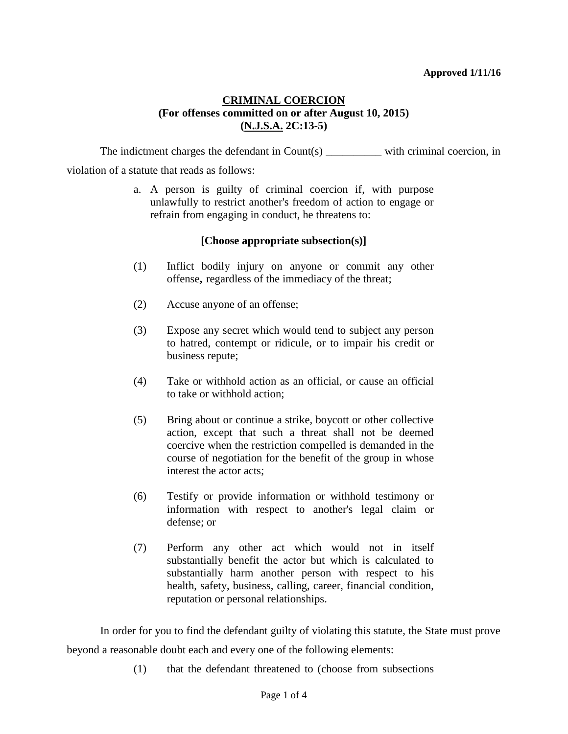#### **Approved 1/11/16**

# **CRIMINAL COERCION (For offenses committed on or after August 10, 2015) (N.J.S.A. 2C:13-5)**

The indictment charges the defendant in Count(s) with criminal coercion, in violation of a statute that reads as follows:

> a. A person is guilty of criminal coercion if, with purpose unlawfully to restrict another's freedom of action to engage or refrain from engaging in conduct, he threatens to:

## **[Choose appropriate subsection(s)]**

- (1) Inflict bodily injury on anyone or commit any other offense**,** regardless of the immediacy of the threat;
- (2) Accuse anyone of an offense;
- (3) Expose any secret which would tend to subject any person to hatred, contempt or ridicule, or to impair his credit or business repute;
- (4) Take or withhold action as an official, or cause an official to take or withhold action;
- (5) Bring about or continue a strike, boycott or other collective action, except that such a threat shall not be deemed coercive when the restriction compelled is demanded in the course of negotiation for the benefit of the group in whose interest the actor acts;
- (6) Testify or provide information or withhold testimony or information with respect to another's legal claim or defense; or
- (7) Perform any other act which would not in itself substantially benefit the actor but which is calculated to substantially harm another person with respect to his health, safety, business, calling, career, financial condition, reputation or personal relationships.

In order for you to find the defendant guilty of violating this statute, the State must prove beyond a reasonable doubt each and every one of the following elements:

(1) that the defendant threatened to (choose from subsections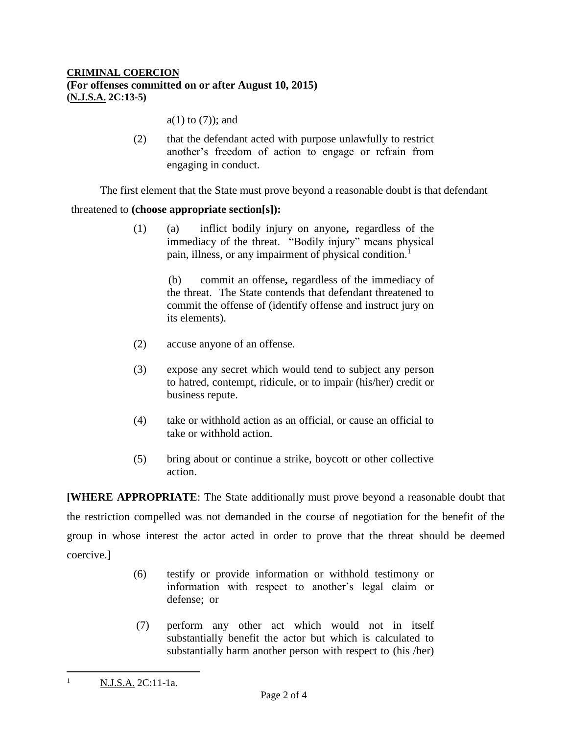## **CRIMINAL COERCION (For offenses committed on or after August 10, 2015) (N.J.S.A. 2C:13-5)**

a(1) to (7)); and

(2) that the defendant acted with purpose unlawfully to restrict another's freedom of action to engage or refrain from engaging in conduct.

The first element that the State must prove beyond a reasonable doubt is that defendant

## threatened to **(choose appropriate section[s]):**

(1) (a) inflict bodily injury on anyone**,** regardless of the immediacy of the threat. "Bodily injury" means physical pain, illness, or any impairment of physical condition.<sup>1</sup>

> (b) commit an offense**,** regardless of the immediacy of the threat. The State contends that defendant threatened to commit the offense of (identify offense and instruct jury on its elements).

- (2) accuse anyone of an offense.
- (3) expose any secret which would tend to subject any person to hatred, contempt, ridicule, or to impair (his/her) credit or business repute.
- (4) take or withhold action as an official, or cause an official to take or withhold action.
- (5) bring about or continue a strike, boycott or other collective action.

**[WHERE APPROPRIATE**: The State additionally must prove beyond a reasonable doubt that the restriction compelled was not demanded in the course of negotiation for the benefit of the group in whose interest the actor acted in order to prove that the threat should be deemed coercive.]

- (6) testify or provide information or withhold testimony or information with respect to another's legal claim or defense; or
- (7) perform any other act which would not in itself substantially benefit the actor but which is calculated to substantially harm another person with respect to (his /her)

 $\overline{a}$ 

<sup>1</sup> N.J.S.A. 2C:11-1a.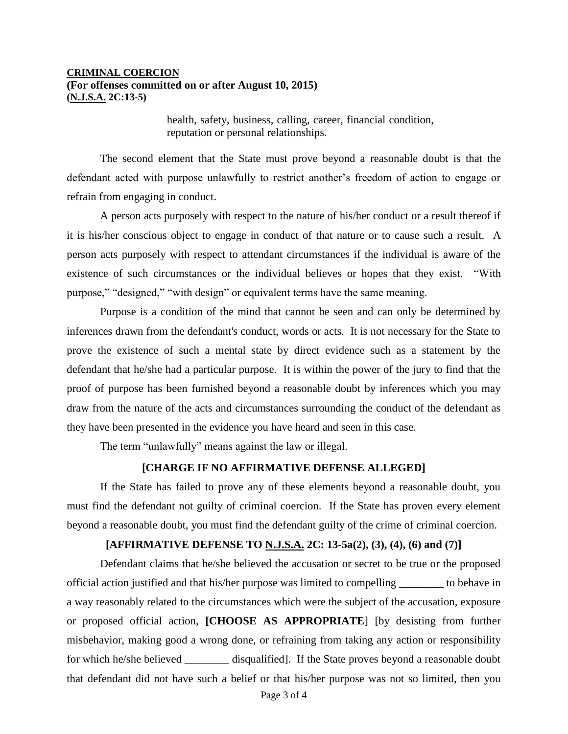#### **CRIMINAL COERCION (For offenses committed on or after August 10, 2015) (N.J.S.A. 2C:13-5)**

health, safety, business, calling, career, financial condition, reputation or personal relationships.

The second element that the State must prove beyond a reasonable doubt is that the defendant acted with purpose unlawfully to restrict another's freedom of action to engage or refrain from engaging in conduct.

A person acts purposely with respect to the nature of his/her conduct or a result thereof if it is his/her conscious object to engage in conduct of that nature or to cause such a result. A person acts purposely with respect to attendant circumstances if the individual is aware of the existence of such circumstances or the individual believes or hopes that they exist. "With purpose," "designed," "with design" or equivalent terms have the same meaning.

Purpose is a condition of the mind that cannot be seen and can only be determined by inferences drawn from the defendant's conduct, words or acts. It is not necessary for the State to prove the existence of such a mental state by direct evidence such as a statement by the defendant that he/she had a particular purpose. It is within the power of the jury to find that the proof of purpose has been furnished beyond a reasonable doubt by inferences which you may draw from the nature of the acts and circumstances surrounding the conduct of the defendant as they have been presented in the evidence you have heard and seen in this case.

The term "unlawfully" means against the law or illegal.

#### **[CHARGE IF NO AFFIRMATIVE DEFENSE ALLEGED]**

If the State has failed to prove any of these elements beyond a reasonable doubt, you must find the defendant not guilty of criminal coercion. If the State has proven every element beyond a reasonable doubt, you must find the defendant guilty of the crime of criminal coercion.

## **[AFFIRMATIVE DEFENSE TO N.J.S.A. 2C: 13-5a(2), (3), (4), (6) and (7)]**

Defendant claims that he/she believed the accusation or secret to be true or the proposed official action justified and that his/her purpose was limited to compelling \_\_\_\_\_\_\_\_ to behave in a way reasonably related to the circumstances which were the subject of the accusation, exposure or proposed official action, **[CHOOSE AS APPROPRIATE**] [by desisting from further misbehavior, making good a wrong done, or refraining from taking any action or responsibility for which he/she believed \_\_\_\_\_\_\_\_\_ disqualified]. If the State proves beyond a reasonable doubt that defendant did not have such a belief or that his/her purpose was not so limited, then you